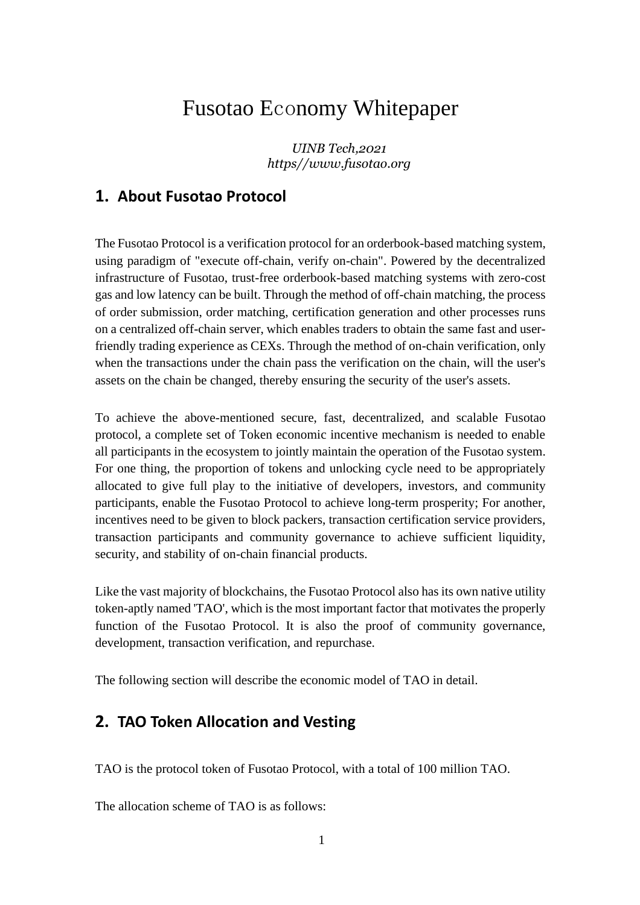# Fusotao Economy Whitepaper

*UINB Tech,2021 https//www.fusotao.org*

# **1. About Fusotao Protocol**

The Fusotao Protocol is a verification protocol for an orderbook-based matching system, using paradigm of "execute off-chain, verify on-chain". Powered by the decentralized infrastructure of Fusotao, trust-free orderbook-based matching systems with zero-cost gas and low latency can be built. Through the method of off-chain matching, the process of order submission, order matching, certification generation and other processes runs on a centralized off-chain server, which enables traders to obtain the same fast and userfriendly trading experience as CEXs. Through the method of on-chain verification, only when the transactions under the chain pass the verification on the chain, will the user's assets on the chain be changed, thereby ensuring the security of the user's assets.

To achieve the above-mentioned secure, fast, decentralized, and scalable Fusotao protocol, a complete set of Token economic incentive mechanism is needed to enable all participants in the ecosystem to jointly maintain the operation of the Fusotao system. For one thing, the proportion of tokens and unlocking cycle need to be appropriately allocated to give full play to the initiative of developers, investors, and community participants, enable the Fusotao Protocol to achieve long-term prosperity; For another, incentives need to be given to block packers, transaction certification service providers, transaction participants and community governance to achieve sufficient liquidity, security, and stability of on-chain financial products.

Like the vast majority of blockchains, the Fusotao Protocol also has its own native utility token-aptly named 'TAO', which is the most important factor that motivates the properly function of the Fusotao Protocol. It is also the proof of community governance, development, transaction verification, and repurchase.

The following section will describe the economic model of TAO in detail.

# **2. TAO Token Allocation and Vesting**

TAO is the protocol token of Fusotao Protocol, with a total of 100 million TAO.

The allocation scheme of TAO is as follows: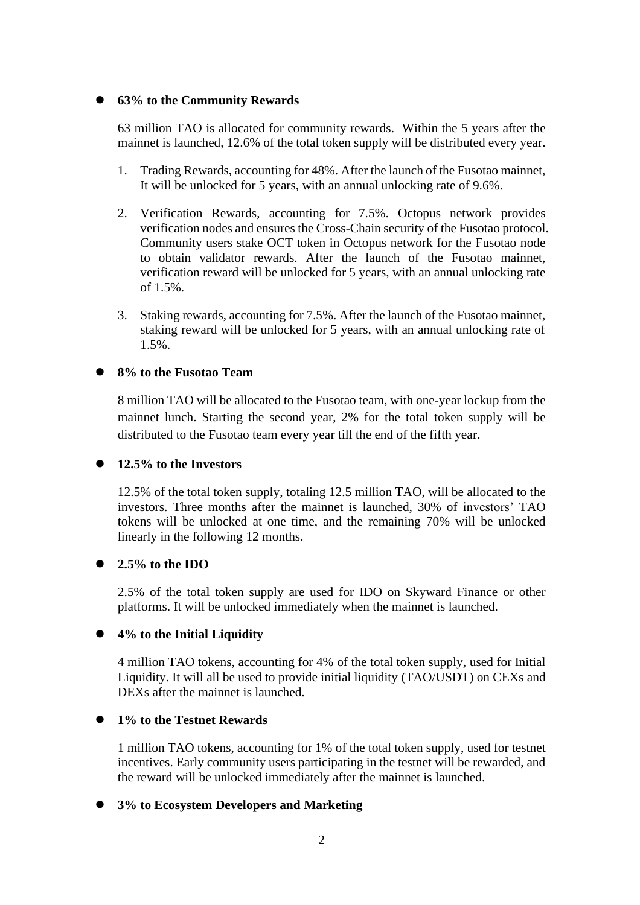#### ⚫ **63% to the Community Rewards**

63 million TAO is allocated for community rewards. Within the 5 years after the mainnet is launched, 12.6% of the total token supply will be distributed every year.

- 1. Trading Rewards, accounting for 48%. After the launch of the Fusotao mainnet, It will be unlocked for 5 years, with an annual unlocking rate of 9.6%.
- 2. Verification Rewards, accounting for 7.5%. Octopus network provides verification nodes and ensures the Cross-Chain security of the Fusotao protocol. Community users stake OCT token in Octopus network for the Fusotao node to obtain validator rewards. After the launch of the Fusotao mainnet, verification reward will be unlocked for 5 years, with an annual unlocking rate of 1.5%.
- 3. Staking rewards, accounting for 7.5%. After the launch of the Fusotao mainnet, staking reward will be unlocked for 5 years, with an annual unlocking rate of 1.5%.

#### ⚫ **8% to the Fusotao Team**

8 million TAO will be allocated to the Fusotao team, with one-year lockup from the mainnet lunch. Starting the second year, 2% for the total token supply will be distributed to the Fusotao team every year till the end of the fifth year.

#### ⚫ **12.5% to the Investors**

12.5% of the total token supply, totaling 12.5 million TAO, will be allocated to the investors. Three months after the mainnet is launched, 30% of investors' TAO tokens will be unlocked at one time, and the remaining 70% will be unlocked linearly in the following 12 months.

#### ⚫ **2.5% to the IDO**

2.5% of the total token supply are used for IDO on Skyward Finance or other platforms. It will be unlocked immediately when the mainnet is launched.

#### ⚫ **4% to the Initial Liquidity**

4 million TAO tokens, accounting for 4% of the total token supply, used for Initial Liquidity. It will all be used to provide initial liquidity (TAO/USDT) on CEXs and DEXs after the mainnet is launched.

#### ⚫ **1% to the Testnet Rewards**

1 million TAO tokens, accounting for 1% of the total token supply, used for testnet incentives. Early community users participating in the testnet will be rewarded, and the reward will be unlocked immediately after the mainnet is launched.

#### ⚫ **3% to Ecosystem Developers and Marketing**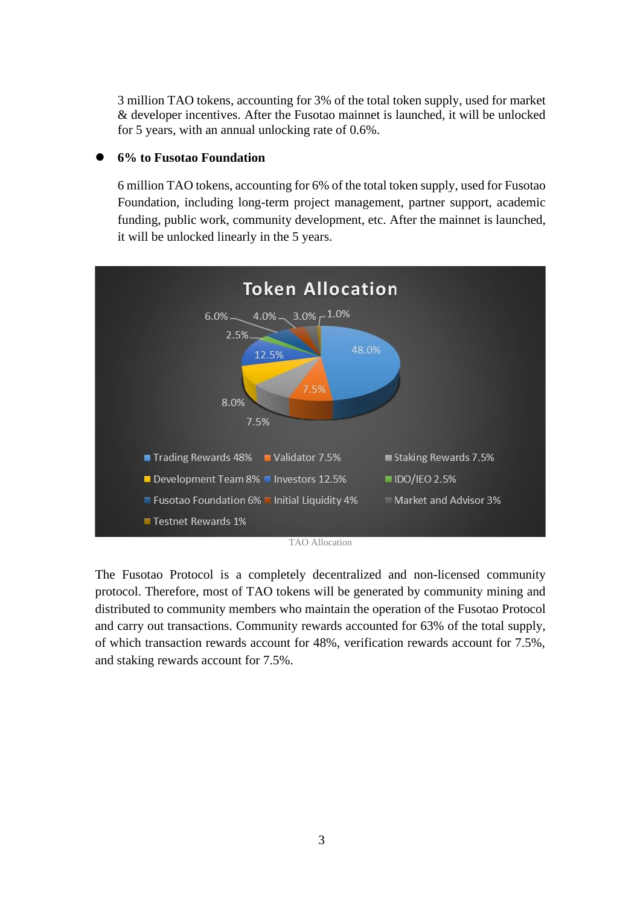3 million TAO tokens, accounting for 3% of the total token supply, used for market & developer incentives. After the Fusotao mainnet is launched, it will be unlocked for 5 years, with an annual unlocking rate of 0.6%.

#### ⚫ **6% to Fusotao Foundation**

6 million TAO tokens, accounting for 6% of the total token supply, used for Fusotao Foundation, including long-term project management, partner support, academic funding, public work, community development, etc. After the mainnet is launched, it will be unlocked linearly in the 5 years.



The Fusotao Protocol is a completely decentralized and non-licensed community protocol. Therefore, most of TAO tokens will be generated by community mining and distributed to community members who maintain the operation of the Fusotao Protocol and carry out transactions. Community rewards accounted for 63% of the total supply, of which transaction rewards account for 48%, verification rewards account for 7.5%, and staking rewards account for 7.5%.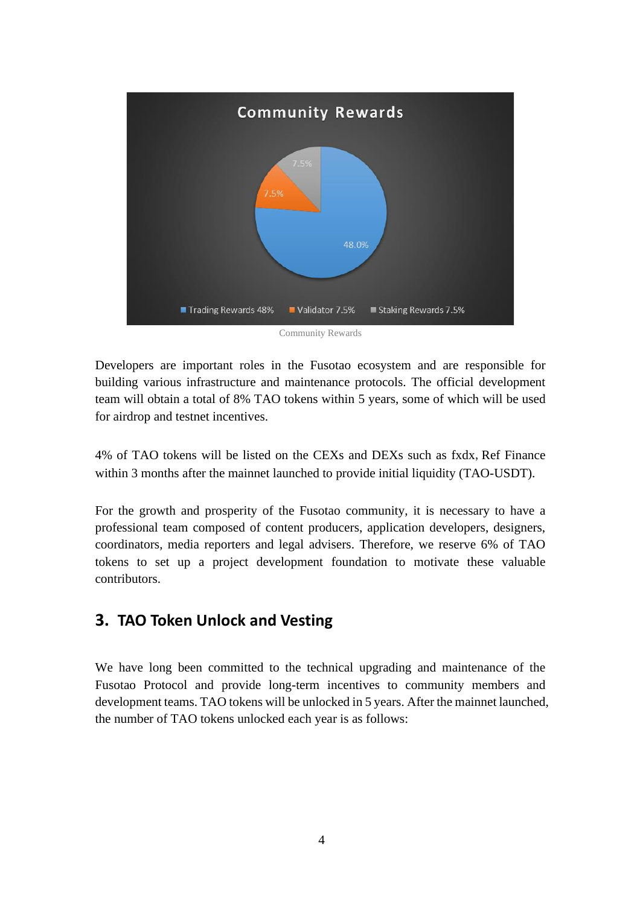

Developers are important roles in the Fusotao ecosystem and are responsible for building various infrastructure and maintenance protocols. The official development team will obtain a total of 8% TAO tokens within 5 years, some of which will be used for airdrop and testnet incentives.

4% of TAO tokens will be listed on the CEXs and DEXs such as fxdx, Ref Finance within 3 months after the mainnet launched to provide initial liquidity (TAO-USDT).

For the growth and prosperity of the Fusotao community, it is necessary to have a professional team composed of content producers, application developers, designers, coordinators, media reporters and legal advisers. Therefore, we reserve 6% of TAO tokens to set up a project development foundation to motivate these valuable contributors.

### **3. TAO Token Unlock and Vesting**

We have long been committed to the technical upgrading and maintenance of the Fusotao Protocol and provide long-term incentives to community members and development teams. TAO tokens will be unlocked in 5 years. After the mainnet launched, the number of TAO tokens unlocked each year is as follows: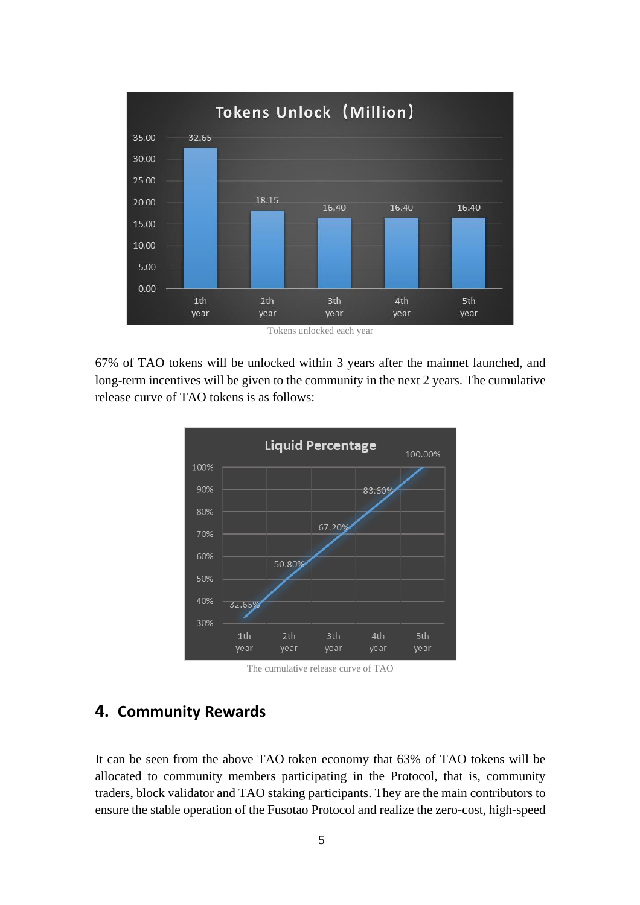

Tokens unlocked each year

67% of TAO tokens will be unlocked within 3 years after the mainnet launched, and long-term incentives will be given to the community in the next 2 years. The cumulative release curve of TAO tokens is as follows:



The cumulative release curve of TAO

### **4. Community Rewards**

It can be seen from the above TAO token economy that 63% of TAO tokens will be allocated to community members participating in the Protocol, that is, community traders, block validator and TAO staking participants. They are the main contributors to ensure the stable operation of the Fusotao Protocol and realize the zero-cost, high-speed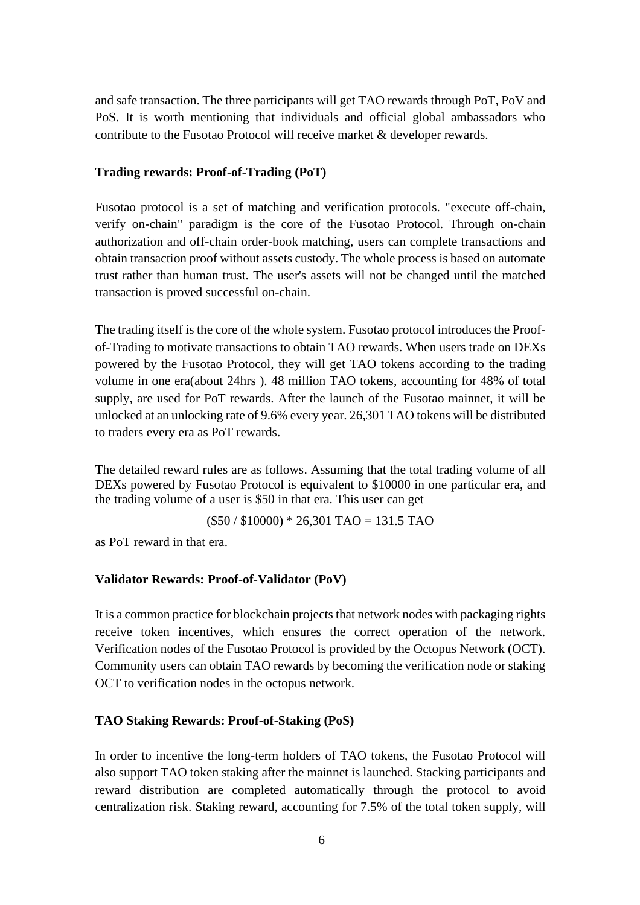and safe transaction. The three participants will get TAO rewards through PoT, PoV and PoS. It is worth mentioning that individuals and official global ambassadors who contribute to the Fusotao Protocol will receive market & developer rewards.

#### **Trading rewards: Proof-of-Trading (PoT)**

Fusotao protocol is a set of matching and verification protocols. "execute off-chain, verify on-chain" paradigm is the core of the Fusotao Protocol. Through on-chain authorization and off-chain order-book matching, users can complete transactions and obtain transaction proof without assets custody. The whole process is based on automate trust rather than human trust. The user's assets will not be changed until the matched transaction is proved successful on-chain.

The trading itself is the core of the whole system. Fusotao protocol introduces the Proofof-Trading to motivate transactions to obtain TAO rewards. When users trade on DEXs powered by the Fusotao Protocol, they will get TAO tokens according to the trading volume in one era(about 24hrs ). 48 million TAO tokens, accounting for 48% of total supply, are used for PoT rewards. After the launch of the Fusotao mainnet, it will be unlocked at an unlocking rate of 9.6% every year. 26,301 TAO tokens will be distributed to traders every era as PoT rewards.

The detailed reward rules are as follows. Assuming that the total trading volume of all DEXs powered by Fusotao Protocol is equivalent to \$10000 in one particular era, and the trading volume of a user is \$50 in that era. This user can get

 $($50 / $10000) * 26,301$  TAO = 131.5 TAO

as PoT reward in that era.

#### **Validator Rewards: Proof-of-Validator (PoV)**

It is a common practice for blockchain projects that network nodes with packaging rights receive token incentives, which ensures the correct operation of the network. Verification nodes of the Fusotao Protocol is provided by the Octopus Network (OCT). Community users can obtain TAO rewards by becoming the verification node or staking OCT to verification nodes in the octopus network.

#### **TAO Staking Rewards: Proof-of-Staking (PoS)**

In order to incentive the long-term holders of TAO tokens, the Fusotao Protocol will also support TAO token staking after the mainnet is launched. Stacking participants and reward distribution are completed automatically through the protocol to avoid centralization risk. Staking reward, accounting for 7.5% of the total token supply, will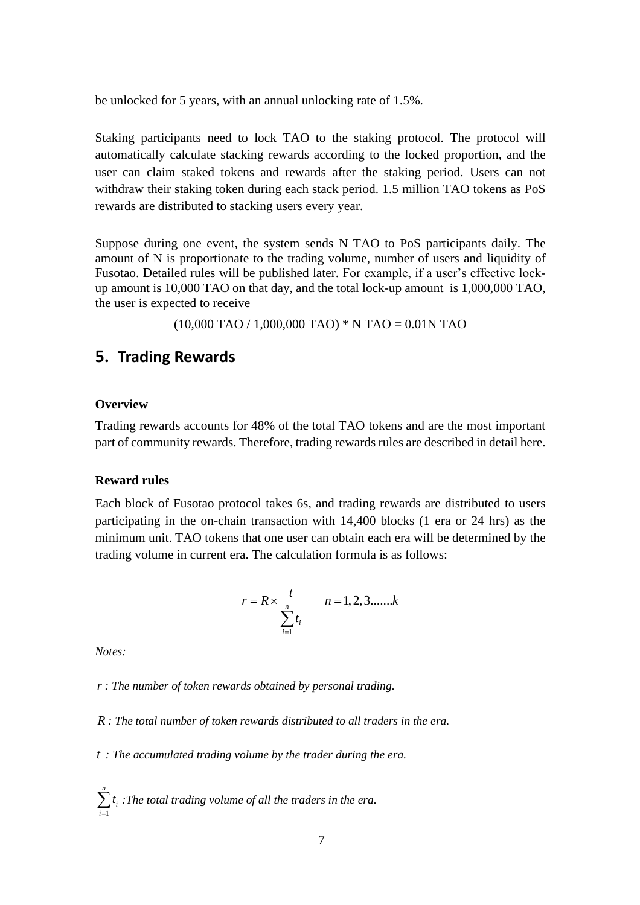be unlocked for 5 years, with an annual unlocking rate of 1.5%.

Staking participants need to lock TAO to the staking protocol. The protocol will automatically calculate stacking rewards according to the locked proportion, and the user can claim staked tokens and rewards after the staking period. Users can not withdraw their staking token during each stack period. 1.5 million TAO tokens as PoS rewards are distributed to stacking users every year.

Suppose during one event, the system sends N TAO to PoS participants daily. The amount of N is proportionate to the trading volume, number of users and liquidity of Fusotao. Detailed rules will be published later. For example, if a user's effective lockup amount is 10,000 TAO on that day, and the total lock-up amount is 1,000,000 TAO, the user is expected to receive

(10,000 TAO / 1,000,000 TAO) \* N TAO = 0.01N TAO

### **5. Trading Rewards**

#### **Overview**

Trading rewards accounts for 48% of the total TAO tokens and are the most important part of community rewards. Therefore, trading rewards rules are described in detail here.

#### **Reward rules**

Each block of Fusotao protocol takes 6s, and trading rewards are distributed to users participating in the on-chain transaction with 14,400 blocks (1 era or 24 hrs) as the minimum unit. TAO tokens that one user can obtain each era will be determined by the trading volume in current era. The calculation formula is as follows:

$$
r = R \times \frac{t}{\sum_{i=1}^{n} t_i}
$$
  $n = 1, 2, 3, \dots, k$ 

*Notes:*

*r : The number of token rewards obtained by personal trading.*

*R : The total number of token rewards distributed to all traders in the era.*

*t : The accumulated trading volume by the trader during the era.*

1 *n i t i*  $\sum_{i=1} t_i$ : The total trading volume of all the traders in the era.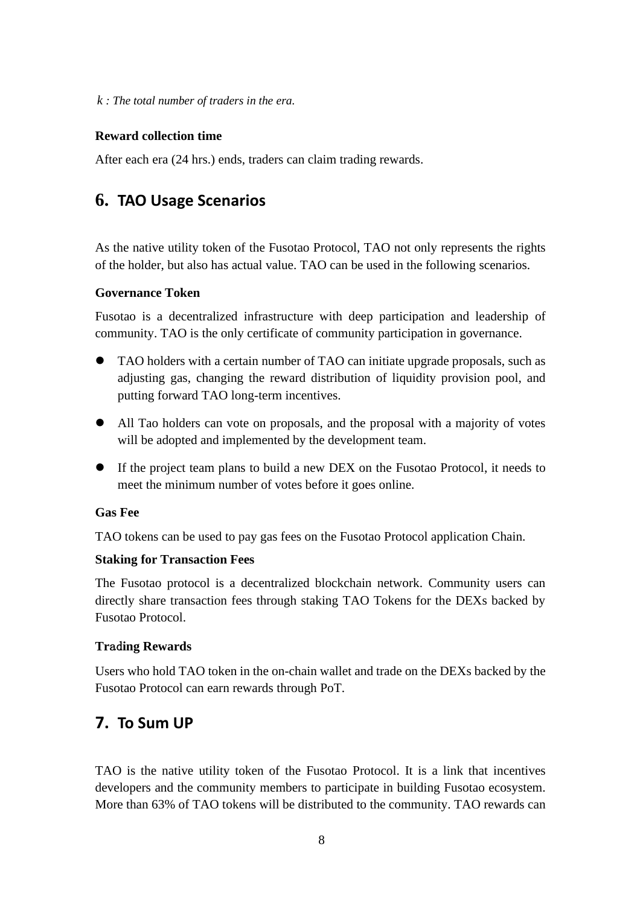*k : The total number of traders in the era.*

#### **Reward collection time**

After each era (24 hrs.) ends, traders can claim trading rewards.

## **6. TAO Usage Scenarios**

As the native utility token of the Fusotao Protocol, TAO not only represents the rights of the holder, but also has actual value. TAO can be used in the following scenarios.

#### **Governance Token**

Fusotao is a decentralized infrastructure with deep participation and leadership of community. TAO is the only certificate of community participation in governance.

- ⚫ TAO holders with a certain number of TAO can initiate upgrade proposals, such as adjusting gas, changing the reward distribution of liquidity provision pool, and putting forward TAO long-term incentives.
- ⚫ All Tao holders can vote on proposals, and the proposal with a majority of votes will be adopted and implemented by the development team.
- ⚫ If the project team plans to build a new DEX on the Fusotao Protocol, it needs to meet the minimum number of votes before it goes online.

#### **Gas Fee**

TAO tokens can be used to pay gas fees on the Fusotao Protocol application Chain.

#### **Staking for Transaction Fees**

The Fusotao protocol is a decentralized blockchain network. Community users can directly share transaction fees through staking TAO Tokens for the DEXs backed by Fusotao Protocol.

#### **Tr**ad**ing Rewards**

Users who hold TAO token in the on-chain wallet and trade on the DEXs backed by the Fusotao Protocol can earn rewards through PoT.

### **7. To Sum UP**

TAO is the native utility token of the Fusotao Protocol. It is a link that incentives developers and the community members to participate in building Fusotao ecosystem. More than 63% of TAO tokens will be distributed to the community. TAO rewards can